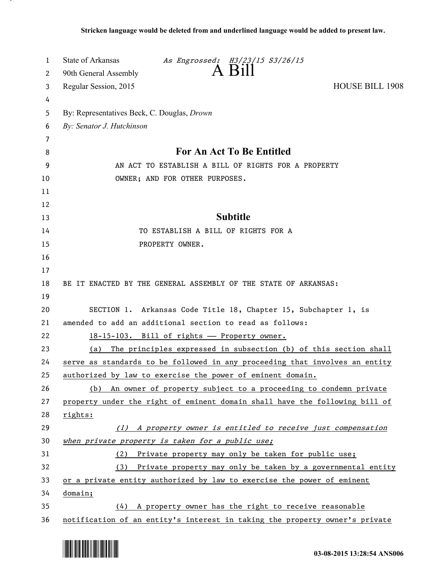| 1      | State of Arkansas<br>As Engrossed: H3/23/15 S3/26/15<br>A Bill              |
|--------|-----------------------------------------------------------------------------|
| 2      | 90th General Assembly                                                       |
| 3      | Regular Session, 2015<br><b>HOUSE BILL 1908</b>                             |
| 4      |                                                                             |
| 5      | By: Representatives Beck, C. Douglas, Drown                                 |
| 6      | By: Senator J. Hutchinson                                                   |
| 7<br>8 | <b>For An Act To Be Entitled</b>                                            |
| 9      | AN ACT TO ESTABLISH A BILL OF RIGHTS FOR A PROPERTY                         |
| 10     | OWNER; AND FOR OTHER PURPOSES.                                              |
| 11     |                                                                             |
| 12     |                                                                             |
| 13     | <b>Subtitle</b>                                                             |
| 14     | TO ESTABLISH A BILL OF RIGHTS FOR A                                         |
| 15     | PROPERTY OWNER.                                                             |
| 16     |                                                                             |
| 17     |                                                                             |
| 18     | BE IT ENACTED BY THE GENERAL ASSEMBLY OF THE STATE OF ARKANSAS:             |
| 19     |                                                                             |
| 20     | SECTION 1. Arkansas Code Title 18, Chapter 15, Subchapter 1, is             |
| 21     | amended to add an additional section to read as follows:                    |
| 22     | 18-15-103. Bill of rights - Property owner.                                 |
| 23     | The principles expressed in subsection (b) of this section shall<br>(a)     |
| 24     | serve as standards to be followed in any proceeding that involves an entity |
| 25     | authorized by law to exercise the power of eminent domain.                  |
| 26     | (b) An owner of property subject to a proceeding to condemn private         |
| 27     | property under the right of eminent domain shall have the following bill of |
| 28     | rights:                                                                     |
| 29     | (1) A property owner is entitled to receive just compensation               |
| 30     | when private property is taken for a public use;                            |
| 31     | (2) Private property may only be taken for public use;                      |
| 32     | Private property may only be taken by a governmental entity<br>(3)          |
| 33     | or a private entity authorized by law to exercise the power of eminent      |
| 34     | domain;                                                                     |
| 35     | $(4)$ A property owner has the right to receive reasonable                  |
| 36     | notification of an entity's interest in taking the property owner's private |



.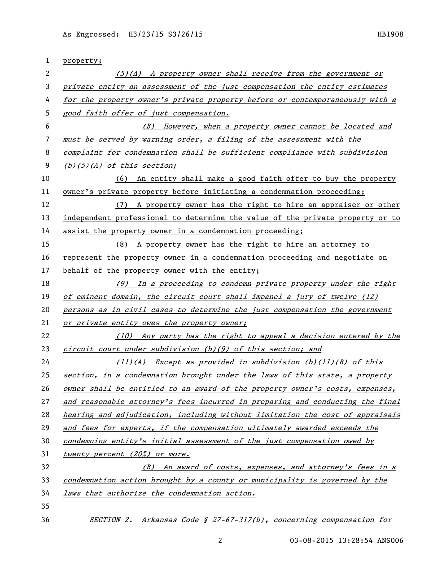| 1  | property;                                                                     |
|----|-------------------------------------------------------------------------------|
| 2  | $(5)(A)$ A property owner shall receive from the government or                |
| 3  | private entity an assessment of the just compensation the entity estimates    |
| 4  | for the property owner's private property before or contemporaneously with a  |
| 5  | good faith offer of just compensation.                                        |
| 6  | (B) However, when a property owner cannot be located and                      |
| 7  | must be served by warning order, a filing of the assessment with the          |
| 8  | complaint for condemnation shall be sufficient compliance with subdivision    |
| 9  | $(b)(5)(A)$ of this section;                                                  |
| 10 | (6) An entity shall make a good faith offer to buy the property               |
| 11 | owner's private property before initiating a condemnation proceeding;         |
| 12 | (7) A property owner has the right to hire an appraiser or other              |
| 13 | independent professional to determine the value of the private property or to |
| 14 | assist the property owner in a condemnation proceeding;                       |
| 15 | (8) A property owner has the right to hire an attorney to                     |
| 16 | represent the property owner in a condemnation proceeding and negotiate on    |
| 17 | behalf of the property owner with the entity;                                 |
| 18 | $(9)$ In a proceeding to condemn private property under the right             |
| 19 | of eminent domain, the circuit court shall impanel a jury of twelve (12)      |
| 20 | persons as in civil cases to determine the just compensation the government   |
| 21 | or private entity owes the property owner;                                    |
| 22 | (10) Any party has the right to appeal a decision entered by the              |
| 23 | circuit court under subdivision $(b)(9)$ of this section; and                 |
| 24 | $(11)(A)$ Except as provided in subdivision $(b)(11)(B)$ of this              |
| 25 | section, in a condemnation brought under the laws of this state, a property   |
| 26 | owner shall be entitled to an award of the property owner's costs, expenses,  |
| 27 | and reasonable attorney's fees incurred in preparing and conducting the final |
| 28 | hearing and adjudication, including without limitation the cost of appraisals |
| 29 | and fees for experts, if the compensation ultimately awarded exceeds the      |
| 30 | condemning entity's initial assessment of the just compensation owed by       |
| 31 | twenty percent (20%) or more.                                                 |
| 32 | (B) An award of costs, expenses, and attorney's fees in a                     |
| 33 | condemnation action brought by a county or municipality is governed by the    |
| 34 | laws that authorize the condemnation action.                                  |
| 35 |                                                                               |
| 36 | SECTION 2. Arkansas Code § 27-67-317(b), concerning compensation for          |

03-08-2015 13:28:54 ANS006